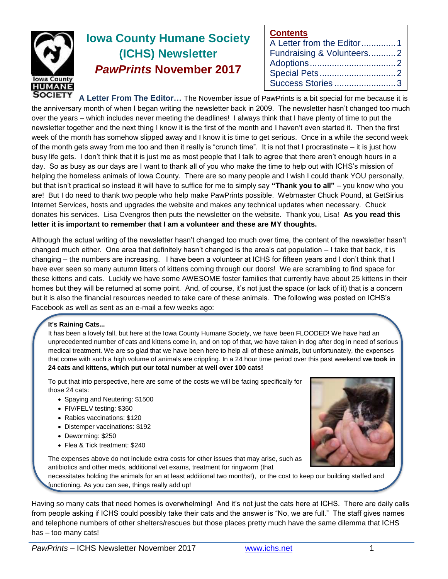

# **Iowa County Humane Society (ICHS) Newsletter** *PawPrints* **November 2017**

| <b>Contents</b>           |  |
|---------------------------|--|
| A Letter from the Editor1 |  |
| Fundraising & Volunteers2 |  |
|                           |  |
|                           |  |
|                           |  |

**A Letter From The Editor…** The November issue of PawPrints is a bit special for me because it is the anniversary month of when I began writing the newsletter back in 2009. The newsletter hasn't changed too much over the years – which includes never meeting the deadlines! I always think that I have plenty of time to put the newsletter together and the next thing I know it is the first of the month and I haven't even started it. Then the first week of the month has somehow slipped away and I know it is time to get serious. Once in a while the second week of the month gets away from me too and then it really is "crunch time". It is not that I procrastinate – it is just how busy life gets. I don't think that it is just me as most people that I talk to agree that there aren't enough hours in a day. So as busy as our days are I want to thank all of you who make the time to help out with ICHS's mission of helping the homeless animals of Iowa County. There are so many people and I wish I could thank YOU personally, but that isn't practical so instead it will have to suffice for me to simply say **"Thank you to all"** – you know who you are! But I do need to thank two people who help make PawPrints possible. Webmaster Chuck Pound, at GetSirius Internet Services, hosts and upgrades the website and makes any technical updates when necessary. Chuck donates his services. Lisa Cvengros then puts the newsletter on the website. Thank you, Lisa! **As you read this letter it is important to remember that I am a volunteer and these are MY thoughts.**

Although the actual writing of the newsletter hasn't changed too much over time, the content of the newsletter hasn't changed much either. One area that definitely hasn't changed is the area's cat population – I take that back, it is changing – the numbers are increasing. I have been a volunteer at ICHS for fifteen years and I don't think that I have ever seen so many autumn litters of kittens coming through our doors! We are scrambling to find space for these kittens and cats. Luckily we have some AWESOME foster families that currently have about 25 kittens in their homes but they will be returned at some point. And, of course, it's not just the space (or lack of it) that is a concern but it is also the financial resources needed to take care of these animals. The following was posted on ICHS's Facebook as well as sent as an e-mail a few weeks ago:

#### **It's Raining Cats...**

It has been a lovely fall, but here at the Iowa County Humane Society, we have been FLOODED! We have had an unprecedented number of cats and kittens come in, and on top of that, we have taken in dog after dog in need of serious medical treatment. We are so glad that we have been here to help all of these animals, but unfortunately, the expenses that come with such a high volume of animals are crippling. In a 24 hour time period over this past weekend **we took in 24 cats and kittens, which put our total number at well over 100 cats!**

To put that into perspective, here are some of the costs we will be facing specifically for those 24 cats:

- Spaying and Neutering: \$1500
- FIV/FELV testing: \$360
- Rabies vaccinations: \$120
- Distemper vaccinations: \$192
- Deworming: \$250
- Flea & Tick treatment: \$240

The expenses above do not include extra costs for other issues that may arise, such as antibiotics and other meds, additional vet exams, treatment for ringworm (that

necessitates holding the animals for an at least additional two months!), or the cost to keep our building staffed and functioning. As you can see, things really add up!

Having so many cats that need homes is overwhelming! And it's not just the cats here at ICHS. There are daily calls from people asking if ICHS could possibly take their cats and the answer is "No, we are full." The staff gives names and telephone numbers of other shelters/rescues but those places pretty much have the same dilemma that ICHS has – too many cats!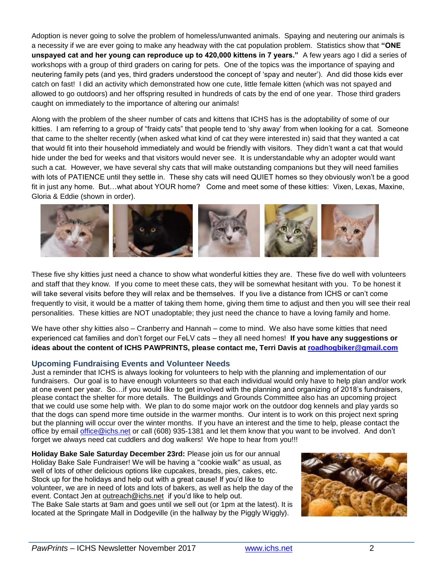Adoption is never going to solve the problem of homeless/unwanted animals. Spaying and neutering our animals is a necessity if we are ever going to make any headway with the cat population problem. Statistics show that **"ONE unspayed cat and her young can reproduce up to 420,000 kittens in 7 years."** A few years ago I did a series of workshops with a group of third graders on caring for pets. One of the topics was the importance of spaying and neutering family pets (and yes, third graders understood the concept of 'spay and neuter'). And did those kids ever catch on fast! I did an activity which demonstrated how one cute, little female kitten (which was not spayed and allowed to go outdoors) and her offspring resulted in hundreds of cats by the end of one year. Those third graders caught on immediately to the importance of altering our animals!

Along with the problem of the sheer number of cats and kittens that ICHS has is the adoptability of some of our kitties. I am referring to a group of "fraidy cats" that people tend to 'shy away' from when looking for a cat. Someone that came to the shelter recently (when asked what kind of cat they were interested in) said that they wanted a cat that would fit into their household immediately and would be friendly with visitors. They didn't want a cat that would hide under the bed for weeks and that visitors would never see. It is understandable why an adopter would want such a cat. However, we have several shy cats that will make outstanding companions but they will need families with lots of PATIENCE until they settle in. These shy cats will need QUIET homes so they obviously won't be a good fit in just any home. But…what about YOUR home? Come and meet some of these kitties: Vixen, Lexas, Maxine, Gloria & Eddie (shown in order).



These five shy kitties just need a chance to show what wonderful kitties they are. These five do well with volunteers and staff that they know. If you come to meet these cats, they will be somewhat hesitant with you. To be honest it will take several visits before they will relax and be themselves. If you live a distance from ICHS or can't come frequently to visit, it would be a matter of taking them home, giving them time to adjust and then you will see their real personalities. These kitties are NOT unadoptable; they just need the chance to have a loving family and home.

We have other shy kitties also – Cranberry and Hannah – come to mind. We also have some kitties that need experienced cat families and don't forget our FeLV cats – they all need homes! **If you have any suggestions or ideas about the content of ICHS PAWPRINTS, please contact me, Terri Davis at [roadhogbiker@gmail.com](mailto:roadhogbiker@gmail.com)**

### **Upcoming Fundraising Events and Volunteer Needs**

Just a reminder that ICHS is always looking for volunteers to help with the planning and implementation of our fundraisers. Our goal is to have enough volunteers so that each individual would only have to help plan and/or work at one event per year. So…if you would like to get involved with the planning and organizing of 2018's fundraisers, please contact the shelter for more details. The Buildings and Grounds Committee also has an upcoming project that we could use some help with. We plan to do some major work on the outdoor dog kennels and play yards so that the dogs can spend more time outside in the warmer months. Our intent is to work on this project next spring but the planning will occur over the winter months. If you have an interest and the time to help, please contact the office by email [office@ichs.net](mailto:office@ichs.net) or call (608) 935-1381 and let them know that you want to be involved. And don't forget we always need cat cuddlers and dog walkers! We hope to hear from you!!!

**Holiday Bake Sale Saturday December 23rd:** Please join us for our annual Holiday Bake Sale Fundraiser! We will be having a "cookie walk" as usual, as well of lots of other delicious options like cupcakes, breads, pies, cakes, etc. Stock up for the holidays and help out with a great cause! If you'd like to volunteer, we are in need of lots and lots of bakers, as well as help the day of the event. Contact Jen at [outreach@ichs.net](mailto:outreach@ichs.net) if you'd like to help out. The Bake Sale starts at 9am and goes until we sell out (or 1pm at the latest). It is located at the Springate Mall in Dodgeville (in the hallway by the Piggly Wiggly).

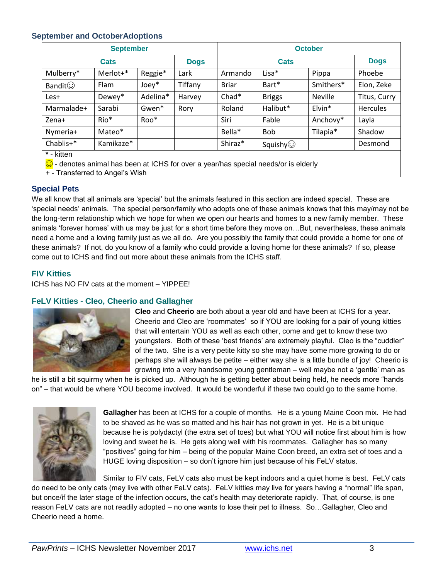## **September and OctoberAdoptions**

| <b>September</b> |           |          |             | <b>October</b> |                 |                    |                 |
|------------------|-----------|----------|-------------|----------------|-----------------|--------------------|-----------------|
| Cats             |           |          | <b>Dogs</b> | <b>Cats</b>    |                 |                    | <b>Dogs</b>     |
| Mulberry*        | Merlot+*  | Reggie*  | Lark        | Armando        | Lisa*           | Pippa              | Phoebe          |
| <b>Bandit</b> ⊙  | Flam      | $Joe*$   | Tiffany     | <b>Briar</b>   | Bart*           | Smithers*          | Elon, Zeke      |
| Les+             | Dewey*    | Adelina* | Harvey      | $Chad*$        | <b>Briggs</b>   | <b>Neville</b>     | Titus, Curry    |
| Marmalade+       | Sarabi    | Gwen*    | Rory        | Roland         | Halibut*        | Elvin <sup>*</sup> | <b>Hercules</b> |
| Zena+            | Rio*      | Roo*     |             | Siri           | Fable           | Anchovy*           | Layla           |
| Nymeria+         | Mateo*    |          |             | Bella*         | <b>Bob</b>      | Tilapia*           | Shadow          |
| Chablis+*        | Kamikaze* |          |             | Shiraz*        | Squishy $\odot$ |                    | Desmond         |
| * - kitten       |           |          |             |                |                 |                    |                 |

☺ - denotes animal has been at ICHS for over a year/has special needs/or is elderly

+ - Transferred to Angel's Wish

### **Special Pets**

We all know that all animals are 'special' but the animals featured in this section are indeed special. These are 'special needs' animals. The special person/family who adopts one of these animals knows that this may/may not be the long-term relationship which we hope for when we open our hearts and homes to a new family member. These animals 'forever homes' with us may be just for a short time before they move on…But, nevertheless, these animals need a home and a loving family just as we all do. Are you possibly the family that could provide a home for one of these animals? If not, do you know of a family who could provide a loving home for these animals? If so, please come out to ICHS and find out more about these animals from the ICHS staff.

# **FIV Kitties**

ICHS has NO FIV cats at the moment – YIPPEE!

# **FeLV Kitties - Cleo, Cheerio and Gallagher**



**Cleo** and **Cheerio** are both about a year old and have been at ICHS for a year. Cheerio and Cleo are 'roommates' so if YOU are looking for a pair of young kitties that will entertain YOU as well as each other, come and get to know these two youngsters. Both of these 'best friends' are extremely playful. Cleo is the "cuddler" of the two. She is a very petite kitty so she may have some more growing to do or perhaps she will always be petite – either way she is a little bundle of joy! Cheerio is growing into a very handsome young gentleman – well maybe not a 'gentle' man as

he is still a bit squirmy when he is picked up. Although he is getting better about being held, he needs more "hands on" – that would be where YOU become involved. It would be wonderful if these two could go to the same home.



**Gallagher** has been at ICHS for a couple of months. He is a young Maine Coon mix. He had to be shaved as he was so matted and his hair has not grown in yet. He is a bit unique because he is polydactyl (the extra set of toes) but what YOU will notice first about him is how loving and sweet he is. He gets along well with his roommates. Gallagher has so many "positives" going for him – being of the popular Maine Coon breed, an extra set of toes and a HUGE loving disposition – so don't ignore him just because of his FeLV status.

Similar to FIV cats, FeLV cats also must be kept indoors and a quiet home is best. FeLV cats do need to be only cats (may live with other FeLV cats). FeLV kitties may live for years having a "normal" life span, but once/if the later stage of the infection occurs, the cat's health may deteriorate rapidly. That, of course, is one reason FeLV cats are not readily adopted – no one wants to lose their pet to illness. So…Gallagher, Cleo and Cheerio need a home.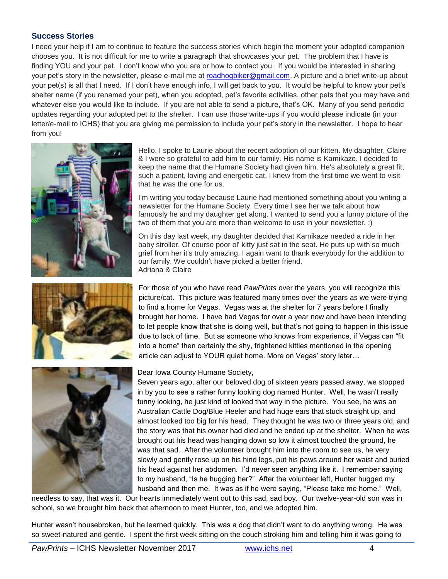### **Success Stories**

I need your help if I am to continue to feature the success stories which begin the moment your adopted companion chooses you. It is not difficult for me to write a paragraph that showcases your pet. The problem that I have is finding YOU and your pet. I don't know who you are or how to contact you. If you would be interested in sharing your pet's story in the newsletter, please e-mail me at [roadhogbiker@gmail.com.](mailto:roadhogbiker@gmail.com) A picture and a brief write-up about your pet(s) is all that I need. If I don't have enough info, I will get back to you. It would be helpful to know your pet's shelter name (if you renamed your pet), when you adopted, pet's favorite activities, other pets that you may have and whatever else you would like to include. If you are not able to send a picture, that's OK. Many of you send periodic updates regarding your adopted pet to the shelter. I can use those write-ups if you would please indicate (in your letter/e-mail to ICHS) that you are giving me permission to include your pet's story in the newsletter. I hope to hear from you!







Hello, I spoke to Laurie about the recent adoption of our kitten. My daughter, Claire & I were so grateful to add him to our family. His name is Kamikaze. I decided to keep the name that the Humane Society had given him. He's absolutely a great fit, such a patient, loving and energetic cat. I knew from the first time we went to visit that he was the one for us.

I'm writing you today because Laurie had mentioned something about you writing a newsletter for the Humane Society. Every time I see her we talk about how famously he and my daughter get along. I wanted to send you a funny picture of the two of them that you are more than welcome to use in your newsletter. :)

On this day last week, my daughter decided that Kamikaze needed a ride in her baby stroller. Of course poor ol' kitty just sat in the seat. He puts up with so much grief from her it's truly amazing. I again want to thank everybody for the addition to our family. We couldn't have picked a better friend. Adriana & Claire

For those of you who have read *PawPrints* over the years, you will recognize this picture/cat. This picture was featured many times over the years as we were trying to find a home for Vegas. Vegas was at the shelter for 7 years before I finally brought her home. I have had Vegas for over a year now and have been intending to let people know that she is doing well, but that's not going to happen in this issue due to lack of time. But as someone who knows from experience, if Vegas can "fit into a home" then certainly the shy, frightened kitties mentioned in the opening article can adjust to YOUR quiet home. More on Vegas' story later…

#### Dear Iowa County Humane Society,

Seven years ago, after our beloved dog of sixteen years passed away, we stopped in by you to see a rather funny looking dog named Hunter. Well, he wasn't really funny looking, he just kind of looked that way in the picture. You see, he was an Australian Cattle Dog/Blue Heeler and had huge ears that stuck straight up, and almost looked too big for his head. They thought he was two or three years old, and the story was that his owner had died and he ended up at the shelter. When he was brought out his head was hanging down so low it almost touched the ground, he was that sad. After the volunteer brought him into the room to see us, he very slowly and gently rose up on his hind legs, put his paws around her waist and buried his head against her abdomen. I'd never seen anything like it. I remember saying to my husband, "Is he hugging her?" After the volunteer left, Hunter hugged my husband and then me. It was as if he were saying, "Please take me home." Well,

needless to say, that was it. Our hearts immediately went out to this sad, sad boy. Our twelve-year-old son was in school, so we brought him back that afternoon to meet Hunter, too, and we adopted him.

Hunter wasn't housebroken, but he learned quickly. This was a dog that didn't want to do anything wrong. He was so sweet-natured and gentle. I spent the first week sitting on the couch stroking him and telling him it was going to